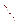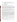# **AGENCY: ENVIRONMENTAL PROTECTION AGENCY (EPA) TITLE: COMMUNITY ACTION FOR A RENEWED ENVIRONMENT (CARE) PROGRAM**

**ACTION: Request for Proposals (RFP)** 

**RFP NO.: EPA-OAR-IO-08-02** 

# **CATALOG OF FEDERAL DOMESTIC ASSISTANCE (CFDA) NO: 66.035**

**CLOSING DATE:** The closing date to submit proposals is March 17, 2008. The closing date and time for receipt of hard copy submission of proposal packages is March 17, 2008, 6:00 p.m., EST. All hard copy submission of proposal packages must be received by Larry Weinstock by March 17, 2008, 6:00 p.m., EST in order to be considered for funding. Grants.gov submissions must be submitted electronically via Grants.gov by March 17, 2008, 11:59 p.m., EST. Proposals received after the closing date and time will not be considered for funding.

EPA reserves the right to amend this solicitation as deemed necessary. Amendments could be administrative in nature (e.g., change of dates or location), technical (e.g., change in requirements), or changes which affect the anticipated funding. If this need occurs, EPA will post the amended solicitation at the same location as this announcement, and the amendment will also be posted on Grants.gov (http://www.grants.gov).

**SUMMARY:** This notice announces the availability of funds and solicits from eligible entities project proposals to receive financial assistance through the Community Action for a Renewed Environment (CARE) program. CARE is a unique community-based, community-driven, multimedia demonstration program designed to help communities understand and reduce risks due to toxics and environmental pollutants from all sources. The CARE grant program works with the eligible entities to help their communities form collaborative partnerships, develop a comprehensive understanding of the many sources of risk from toxics and environmental pollutants, set priorities, and identify and carry out projects to reduce risks through collaborative action at the local level. CARE's long-term goal is to help communities build self-sustaining, community-based partnerships that will continue to improve human health and local environments into the future. This is the fourth year requesting proposals for the CARE grant program; the first was in the spring of 2005.

The objective of the CARE grant program is to work collaboratively within the community to investigate the effectiveness of the CARE process--whether this cross-Agency, multi-media program provides greater environmental benefits than either non-collaborative or single media approaches.

EPA will award two types of cooperative agreements **(Level I and Level II)** under this solicitation as part of the CARE grant program.

**EXECUTE:** Level I cooperative agreements will support the following types of activities: working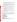with the funded entity to form community-based collaborative partnerships; developing a comprehensive understanding of the many sources of risk from toxics and environmental pollutants; and setting community risk reduction priorities.

**EXECUTE:** Level II cooperative agreements will fund activities to identify and demonstrate actual risk reduction projects "on the ground" in their community. Level II agreements are for communities that have already completed the actions typically taken in a Level I agreement. However, receipt of a Level I cooperative agreement is not a prerequisite to receiving a Level II cooperative agreement.

**FUNDING/AWARDS:** The financial assistance obtained through this solicitation will be awarded as a two-year cooperative agreement. The total estimated funding expected for all awards under this solicitation is approximately \$3.5 million for FY 2008.

- EPA anticipates awarding 5 10 Level I cooperative agreements ranging in approximate value from \$75,000 to \$100,000. Most Level I agreements are expected to be funded at the level of about \$90,000 with a maximum value of \$100,000. (See Section III.B., Threshold Eligibility Requirements).
- **EPA** also anticipates awarding  $6 8$  Level II cooperative agreements ranging in approximate value from \$150,000 to \$300,000. Most Level II agreements are expected to be funded at about \$275,000 with a maximum value of \$300,000. (See Section III.B., Threshold Eligibility Requirements.)

The CARE grant program is very competitive. In the 2007 competition, 130 applications were received and 17 projects were funded.

EPA reserves the right to increase or decrease (including to zero) the total number of cooperative agreements awarded for each level, or change the ratio of Level I to Level II agreements it awards. Such changes may be necessary as a response to the quality of applications received by EPA, the amount of the funds awarded to the selected applicants, or budget availability.

# **CONTENTS BY SECTION**

- **I. Funding Opportunity Description**
- II. **Award Information**
- **III. Eligibility Information**
- **IV. Proposal and Submission Information**
- **V. Proposal Review Information**
- **VI. Award Administration Information**
- **VII. Agency Contacts**
- **VIII. Other Information**

**IX. Appendixes:** (Appendix A: CARE Required Performance Measures; Appendix B: Sample Budget Narrative; Appendix C: Suggestions for Writing Your Narrative Proposal) **SECTION I— Funding Opportunity Description**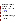# **A. Background**

EPA developed the CARE program in response to community requests for help in addressing environmental concerns and in recognition of the need for a new approach to help communities develop locally-led solutions to address these concerns. While national regulatory approaches have resulted in significant reductions in toxic releases and other environmental improvements, these methods have not always been effective in addressing specific community concerns and cumulative risks resulting from toxic releases from multiple and often diffuse sources.

CARE is designed to complement national regulatory approaches and meet community needs by building the capacity of communities to understand and take effective actions at the local level to address existing environmental concerns. The CARE program will provide funding, information, training, technical support, and help to build collaborative local partnerships, improved access to voluntary programs and address community environmental concerns.

This help will focus on building the communities' capacity to understand and reduce the risks from toxics and environmental pollutants in all environmental media. Since the first round of CARE grants in 2005, EPA has already provided over \$8 million in funding for 51 projects: 32 Level I and 19 Level II cooperative agreements. Two communities have graduated from Level I to Level II cooperative agreements. This is the fourth CARE solicitation. Because each solicitation has been similar to the previous three years, applicants may find it useful to go to the CARE Web site (www.epa.gov/care) and read the descriptions of the existing CARE projects. Note, however, that there has been some evolution to the CARE grant solicitation over time, especially with regards to the threshold criteria for a Level II project, so applicants need to focus on the specific criteria in this solicitation.

# **B. Scope of CARE Projects**

- 1. Goals -- The goals of the CARE program are to:
	- Reduce exposures to toxic pollutants through collaborative action at the local level.
	- Help communities gain an understanding of all potential sources of exposure to toxic pollutants.
	- Work with communities to set priorities for risk reduction activities.
	- Create self-sustaining, community based partnerships that will continue to improve the local environment.

2. Strategies -- To achieve these goals, the CARE program will use the following strategies:

- Build effective collaborative partnerships that include community organizations and residents, businesses, and governments and other appropriate partners.
- **Provide information, tools, and technical assistance to help communities understand all** potential sources of exposure to toxic pollutants.
- Establish consensus in communities on priorities, effective action to reduce risks.
- Focus on action, mobilize local resources and utilize EPA voluntary programs to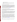implement risk reduction activities.

- Facilitate networking among CARE communities to share experiences and lessons learned.
- Build long-term community capacity to continue improving the local environment.
- 3. Definition of "toxics" under the CARE program:

 limiting the term toxics to chemicals listed in one or more environmental statute or regulations. For additional information please refer to the CARE Solicitation Questions and Answers. This The CARE program is designed to help communities reduce toxics in their environment and solve environmental problems that affect the health and/or the environment of the people who live and/or work in the community. EPA uses the term toxics to mean environmental pollutants that cause negative health or environmental impacts. These environmental pollutants can be in any environmental media--**air, water, land and/or in the indoor environment**. EPA is not document can be found on the CARE Web site, www.epa.gov/care.

4. Definition of "community" under the CARE program:

CARE is designed to help place-based communities build collaborative partnerships that can work to understand and improve environments at the local level. The funded recipient will act as a catalyst to bring the community together and empower the community to help in the completion of the CARE projects.

 program is not strictly defining the term community. A community is **all** the people living in the Since the size of local level place-based communities varies depending on the project, the CARE same area sharing the same environment, including both residents and businesses. A community will often be in a relatively small area, but in rural locations a larger area such as a watershed would be considered a community. A tribal reservation would normally be considered a community. Eligible CARE partnerships can be formed at the neighborhood level or in larger place-based areas.

However, for purposes of CARE program's focus on building capacity at the local level, New York City or watersheds the size of the Missouri or the Columbia Rivers would be considered too large to be a community. Sections of New York City or the watershed of smaller rivers would be considered communities. Moreover, a subpopulation of a community (e.g., all the schools in a specific area; or all the people of the same ethnic group; or all the people with a single occupation to the exclusion of the other people living in the same area), does not qualify as representing the entire community and a project addressing a subpopulation is not be eligible for a CARE grant. For additional information please refer to the CARE Solicitation Questions and Answers on the CARE Web site: www.epa.gov/care.

5. What we are looking for in a community-based partnership and a collaborative stakeholder group:

The key to the CARE process is the community partnership. One of our goals is to work in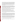partnership with the funded entity to create a self-sustaining, community-based partnership that will continue to improve the local environment, even after the CARE cooperative agreement ends. The community-based partnership needs to include representative from all three different "sides" in a community: residents, local businesses, and local government. All three sides must work together to allow a true community-wide consensus to be created and for sustainable solutions. These members work together to get information about environmental risks, disseminate that information out to the community, collect feedback, and use a consensus-based process to make decisions.

Everyone in the partnership is committed to work together to identify and address their environmental problems of concern and not point fingers at potential responsible parties. All the participants are willing to look fairly at their contribution to risk and are willing to participate in voluntary and other programs to reduce that risk. EPA realizes that this means that CARE is not appropriate for all communities. CARE requires a community where all sides are willing to work together and collaborate to produce long-term solutions.

When EPA asks for a list of the applicant's "partners", EPA is asking the applicant to name the organizations/groups/local leaders/volunteers that will be part of the community stakeholder group and/or those who will work to support and lead the project. EPA is looking for a stakeholder group that represents all three "sides" of a community.

EPA recognizes that there are other stakeholders in a community besides residents. local businesses, and local governments (for example colleges and universities). These other stakeholders can, and where appropriate, should be included in the stakeholder group. The three major "sides" of a community are the minimum needed for a true community-wide partnership.

6. What is a good CARE project?

A good CARE project would have a partnership that reflects all aspects mentioned in the above question. In addition, the grantee, or recipient of the CARE funds, would have the capacity and ability (and preferably successful experiences) to be a catalyst and convener for the community and the partnership working to bring about a consensus within the community and not trying to drive the community to their pre-determined risks and solutions. The grantee recognizes that the project is about empowering the community to improve their environment.

A good CARE project has a sound plan and ability to achieve results in helping the community identify sources of exposure to toxic pollutants and set priorities for risk reduction activities through a collaborative process (Level I); take action to reduce exposures to toxic pollutants through collaborative action (Level II); and create self-sustaining, community-based partnerships to continue to improve the local environment after the EPA grants ends (Level I and II).

7. What resources are provided by EPA through the CARE program?

When recipients receive a CARE cooperative agreement, in addition to funding they may also receive: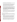- EPA Program Support: EPA will provide information about EPA programs and support to help CARE recipients use the EPA programs they select;
- EPA Technical Advisor Support: EPA will provide regional technical advisory staff who will work directly with the partnership group. The technical support provided by the EPA staff will be both scientific information, such as access to databases, models and other forms of technical support to evaluate and reduce risks, and community organizational support, such as how to make partnerships work better, consensusbuilding, strategic planning, becoming self-sustaining, among other skills.
- CARE National Training Workshop: CARE cooperative agreement recipients will be required to attend an annual multi-day, CARE training. Some of the training's objectives will be to help the recipient with strategic planning, cooperative agreement management, and afford numerous opportunities to network with other CARE community representatives. **Expenses for this annual national training (i.e., travel, lodging, etc.) must be included, for both years of the grant, in the applicant's budget narrative proposal (see Appendix B).** We do not know, at this time, where the training location will be, so proposed travel costs can be considered estimates. Previous trainings were located in Denver, Seattle, and Atlanta.
- CARE Community Network: All CARE communities are networked together through regular emails, formal conference calls or other methods, so the communities can provide informal and formal support to each other, share experiences and help each other solve problems. EPA views this portion of the program as one of the keys to its success.
- 8. Utilization of EPA partnership programs:

CARE is designed to deliver partnership programs to communities. Partnership programs in EPA include a wide variety of programs, initiatives, and activities that are based on communities and citizens taking action not required by statute or regulation. There are two major categories of partnership programs:

- **Category One:** Participants specifically sign up for a partnership program, and must meet certain criteria to be considered members. The motivation for participation is usually based on a combination of a desire for improved environmental performance, economic savings, or improved performance and/or recognition. Examples include: EPA's WasteWise, Best Workplaces for Commuters, National Priorities for Environmental Pollutants, Performance Track, and Source Water Protection programs.
- **Category Two**: Participants are provided information to carry out EPA's partnership programs, or to design their own approaches to reduce health risks to them or others, examples include: EPA's Indoor Air Quality Tools for Schools, Integrated Pest Management, Pollution Prevention, and Make a Difference Campaign programs.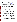EPA's Web site includes a Voluntary Program Guide which lists the national EPA voluntary partnership programs that could be of use to communities*.* The Guide provides information on where to find the requirements for each of the programs listed. *(www.epa.gov/care)* 

9. There are two Levels of CARE funding – EPA will provide CARE funding to applicants through cooperative agreements to support projects at two different levels (Level I and Level II) as follows:

# **a. Level I CARE Funding**

The goal of Level I projects is to ensure, at completion, that the community has developed an effective problem solving partnership, has an understanding of toxic risks facing the community, and has reached consensus in prioritizing those risks.

CARE Level I cooperative agreement funding will:

- Provide assistance to applicants to create, develop and or sustain a collaborative partnership dedicated to understanding toxic risks and environmental pollutant impacts in their community. Community partnerships should be as inclusive as possible including community residents, representatives of community organizations, small and large businesses, state, tribal, local government agencies, EPA and other federal agencies, colleges and universities, and other organizations and individuals as appropriate.
- Build local capacity and organizations (e.g. using the funds to develop local leaders, hold leadership-building workshops, build local networks that have long-term sustainability, build local environmental coalitions that can aid local environmental agencies, and environmental solution implementation.)
- Assist broad-based partnerships, with technical support from EPA, states, and other partners;
- Identify all sources of toxics and environmental pollutants in the community (however, CARE funding cannot be used for surveys of more than 9 people by the recipient. CARE funding can pay for the assessment of survey data), perform a multimedia screening level assessment of the risks from them, and work to help determine community priorities for risk reduction.

\*\*An example of a model for doing this prioritization is the PACE-EH process (http://pace.naccho.org/DownloadPage.asp )

# **b. Level II CARE Funding**

A CARE Level II community will demonstrate success by continuing to reduce identified toxic risks and environmental pollutants and build healthier communities, even after the completion of the funded Level II project.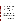Applicants are not required to have been a recipient of a Level I agreement in order to receive a Level II agreement. However, they are designed for communities that have **already** established a broad-based, collaborative, problem solving partnership; that have developed an understanding of all or most of the toxic risks and environmental pollutants facing their community in multiple environmental media; and that have set community priorities for risk reduction.

CARE Level II cooperative agreement funding will:

- help communities identify and accomplish risk reduction actions to address the community's priority risks (as identified before the Level II project was started). Risks will be addressed through the selection and use of EPA-programs and technical assistance or other voluntary actions selected by the partnership.
- help the community partnership become self-sustaining. (Please note: CARE assistance may include training and assistance in how to attract new resources and partners to support further risk reduction activities, but CARE funds cannot be used to pay for filling out grant applications or other fund raising activities.)

Please note: A group, no matter how broad its constituents, which was convened about a specific kind of toxin or toxic source must demonstrate that they did a detailed examination of more than that single source or class of toxics. For example, a group called "Good People Against Diesel Emissions", cannot say that they simply looked at all multi-media impacts of diesel emissions and then decided that Diesel Emissions are the top priority in the community.

10. Examples of Suggested Activities for Level I Projects:

- building, convening, facilitating, and providing environmental information to community stakeholder group(s);
- investigating different environmental toxic problems in the different environmental media in the community and preparing education materials for the community regarding the results of the investigations;
- analyzing the toxics problems in the community and their relative risks and potential solutions;
- providing information to the stakeholder group, community or the general public about any of the above activities and their results;
- evaluating and tracking the progress of the project, and communicate lessons learned with their and other communities.

11. Examples of Suggested Activities for Level II Projects:

 activities to reduce risks, including: identifying, choosing and implementing options for risk reduction and mobilizing local resources to carry out new or existing voluntary programs (e.g. Indoor Air Quality Tools for Schools, Design for the Environment, and the Pesticide Environmental Stewardship Program, and pollution prevention of Priority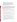Chemicals);

- convening, facilitating, and providing environmental information to community stakeholder group(s) that may hopefully lead to toxic risk reductions;
- finding additional partners and resources to make the project self-sustaining;
- evaluating and tracking the progress of the project, measuring results, and communicating lessons learned with their and other communities;
- **•** providing information to the stakeholder group, community or the general public about any of the above activities and their results.
- 12. How is the CARE program different from other EPA grant programs?

The CARE cooperative agreements are designed to investigate and demonstrate the long-term value of the CARE program. Specifically, EPA has developed the CARE program as a different approach to address the problems of cumulative risk in communities. While CARE builds on the efforts of previous community-based programs, CARE does offer a different approach. The CARE approach combines all of the following factors (each of which may not be unique to CARE, but the combination of approaches and tools is unique):

- CARE is a multimedia program that takes a comprehensive view of toxics and environmental pollutants in a community and is not limited to a single media (air, water, land) or source.
- CARE is based on providing the tools and information to communities so they can set their own priorities for risk reduction and select the voluntary programs that best fit their needs.
- CARE creates a network that includes all the CARE communities. This network will allow communities to learn from and support each other.
- Through a single program, CARE cooperative agreements allow communities to get organized, examine and prioritize toxic risks, and take voluntary actions to reduce those risks.
- CARE uses collaborative stakeholder processes and voluntary programs to bring the various sectors of the community together to solve problems.
- CARE mobilizes a network of EPA staff from across programs and regional offices to provide support, training, and tools to help communities achieve success.
- CARE establishes an effective mechanism to deliver the full range of the EPA voluntary partnership programs to the communities that need and want them.
- CARE helps develop community capabilities that will be self-sustaining, collaborative, and will hopefully continue improving the environmental health in the community even after the grant funding expires.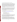13. Timing of CARE funding (especially important for Level I applicants):

It is the expectation of EPA that communities who receive CARE Level I cooperative agreements will successfully complete their CARE Level I project; and continue by applying and competing for a CARE Level II cooperative agreement. All Level I projects should consider the timing of the CARE funding cycle in planning their projects. Applications for CARE grants will be due in the February to March timeframe. Successful applicants will receive their money in September or October of the same year. A CARE Level I project that wants to apply for a CARE Level II cooperative agreement will have to demonstrate that they have examined the environmental risks in their community and gone through a consensus process to prioritize those risks. In other words, they must complete most of their work before applying for a Level II cooperative agreement.

Level I grants provide two years of funding, the applicant can complete the project more quickly to apply for a Level II grant in 18 months or plan to ask for a 1 year no-cost extension, they then would apply for a Level II grant in 30 months after their CARE Level 1 project is awarded. In this way, the grant recipient can finalize or extend the project to match with EPA's funding cycle. Of course, the applicant can take a full two years on the project and then use other resources to keep the partnership together until they apply, compete and hopefully receive a Level II cooperative agreement.

#### **C. EPA Strategic Plan Linkage to CARE and Anticipated Outcomes/Outputs.**

**1. EPA's Strategic Plan** ((http://www.epa.gov/ocfopage/plan/plan.htm)) has five goals:

 Goal 4: Healthy Communities and Ecosystems Goal 5: Compliance and Environmental Stewardship Goal 1: Clean Air and Global Climate Change Goal 2: Clean and Safe Water Goal 3: Land Preservation and Restoration

Awards under the CARE program directly support progress towards EPA Strategic Plan's **Goal 4**: *Healthy Communities and Ecosystems*; **Objective 4.2**: *Communities Sustain, Clean Up, and Restore Communities and the Ecological Systems That Support Them*; and **Sub-objectives**: 4.2.1 (Sustain Community Health); 4.2.2 (Restore Community Health); and Objective 4.3 (Ecosystems); 4.3.1 (Protect and Restore Ecosystems).

**2. The CARE program supports the other goals in EPA's Strategic Plan.** In the CARE program, communities will select and carry out EPA partnership programs to reduce toxic exposures and protect the environment in their communities. While the partnership programs and other actions taken will differ from community to community, overall, the actions taken by communities through the CARE program will support a number of the other goals, objectives, and sub-objectives in the EPA Strategic Plan across all the environmental media. In addition to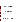#### Goal 4 they are:

- **Goal 1** Clean Air and Global Climate Change: Objective 1.1 (Healthier Outdoor Air) Sub-Objective 1.1.2 (Reduced Risk from Toxic Air Pollutants) Objective 1.2 (Healthier Indoor Air)
- **Goal 2** Clean and Safe Water Objective 2.1 (Protect Human Health) Sub-objective 2.1.1 (Water Safe to Drink) Objective 2.2: Protect Water Quality Sub-objective 2.2.1: Improve Water Quality on a Watershed Basis
- **Goal 3** Land Preservation and Restoration Objective 3.1 (Preserve Land) Sub-objective 3.1.1 (Reduce Waste Generation and Increase Recycling)
- **Goal 5** Compliance and Environmental Stewardship Objective 5.2: Improve Environmental Performance through Pollution Prevention and Innovation,

Sub-objective 5.2.1 (Prevent Pollution and Promote Environmental Stewardship by Government and the Public) Sub-objective 5.2.2 (Prevent Pollution and Promote Environmental Stewardship

by Business)

Sub-objective 5.2.3 (Business and Community Innovation)

**3. Outcomes** -- Through the agreements expected to be awarded under this solicitation, EPA expects to work with communities so they can:

- Create self-sustaining community-based partnerships that will continue to improve local environments. (CARE Level I and II projects)
- Develop a comprehensive understanding of all sources of risk from toxics and set priorities for effective action. (CARE Level I projects)
- **•** Demonstrate the reduction of risk from exposure to toxic pollutants through collaborative action at the local level. (CARE Level II projects)

**4. Outputs** -- The anticipated outputs for awards expected to be made under this solicitation will vary from community to community. The main expected outputs are the following:

- CARE Level I project: The creation of a broad-based community stakeholder group that has developed an understanding of and has prioritized the list of the toxic risks and environmental pollutants in their community and engaged the community through a consensus process.
- CARE Level II project: The community reaches consensus on the selection of partnership programs and/or other approaches to address the community's priority risks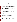(to address the risks identified in a Level I or similar project) and these programs and approaches are implemented to reduce risks in the community. While different communities will select different partnership programs, they will be expected to achieve the specific outputs/outcomes of the programs they choose.

#### **5. Developing Performance Measures**

To receive a cooperative agreement under the CARE program, the applicant must develop performance measures they expect to achieve through the proposed, funded activities. *The performance measures should focus on specific, quantitative actions related to the applicant's activities, outputs, and outcomes*. These performance measures will help gather insights and will be the mechanism to track progress concerning successful process and outcome strategies and will provide the basis for developing lessons to inform future CARE recipients.

During the two-year cooperative agreement period, every CARE grant recipient is encouraged to measure performance success in the environmental, economic, and social dimensions. While the CARE project may not lead to dramatic improvement in all three of these dimensions, the CARE applicant is encouraged to think long-term on how the environmental, economic and/or social progress of the project could be monitored long-time through data collection.

Level II cooperative agreement recipients are encouraged to address actual environmental and human health improvement, whether it is through reduced impact, a more effective use of materials, control of toxics and other pollution sources, healthier ecosystem (land, air, water) functioning, or other measures. In addition, Level II cooperative agreements recipients should collect and/or use data to measure and track both short and long-term progress and success.

See Appendix A for the Level I and Level II list of specific required performance measures that must be reported to EPA and examples of the kinds of measures projects could use.

#### **D. Supplementary Information**.

1. National CARE Internet Seminar Web cast:

The CARE program will conduct three identical national informational sessions for potential applicants via a national web cast seminar on the following dates and times:

| January 18, 2008  | 12:30 - 2:00 p.m. eastern time    |
|-------------------|-----------------------------------|
| February 11, 2008 | 11:00 - 12:30 p.m. eastern time   |
| February 27, 2008 | $10:00 - 12:00$ a.m. eastern time |

To register for the upcoming CARE Internet Seminar for either of the above dates, please go to: http://www.cluin.org/studio/seminar.cfm and click on the registration link for the "CARE Request for Proposals Q&A".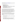After the three national Web cast sessions are completed, a recorded version of the full web cast seminar will available on: https://www.clu-in.org/live/archive.

2. EPA CARE cooperative agreements will be awarded under the following EPA research and demonstration statutory authorities:

- **Clean Water Act,** Section 104(b)(3);
- **Solid Waste Disposal Act, Section 8001(a);**
- **Clean Air Act,** Section 103(b)(3);
- **Toxic Substances Control Act,** Section 10(a) as supplemented by P.L. 106-74 (1999);
- **Federal Insecticide, Fungicide, and Rodenticide Act,** Section 20(a) as supplemented by P.L. 106-74 (1999); and,
- **Marine Protection, Research, and Sanctuaries Act,** Section 203;
- **National Environmental Policy Act, Section 102(2)(F)**

To be selected for funding, a project must consist of activities within the statutory terms of EPA's research and demonstration grant authorities; specifically, the statutes listed above. Generally, a project must address the causes, effects, extent, prevention, reduction, and elimination of water pollution, solid/hazardous waste pollution, air pollution, toxic substances control, pesticide control, or ocean dumping. Most, but not all, of the statutes authorize financial assistance for the following activities: "research, investigations, experiments, training, demonstrations, and studies." These activities relate generally to the gathering or the transferring of information or advancing the state of knowledge. The application of established practices may qualify when they are part of a broader project which qualifies under the term "research." (See Section III. B., Threshold Eligibility Requirements).

Applicants must be aware that there are certain statutory restrictions related to EPA's annual Appropriation Acts**.** Therefore, EPA funds for cooperative agreements under this solicitation **cannot** be used for projects within the scope of activities covered by other appropriation accounts within the EPA Appropriation Act. For example, CARE cooperative agreements **cannot** be used:

- To equip school buses with diesel retrofit technology or to replace older school buses in order to reduce diesel emissions.
- To develop and enhance state and tribal efforts to protect wetlands or to implement State and Tribal wetland programs**.**
- For the principal purpose of providing training, research, and technical assistance to individuals and organizations to facilitate the inventory of Brownfield sites, site assessments, remediation of Brownfield sites, community involvement or site preparation. (EPA funds those types of projects with State and Tribal Assistance Grant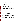appropriations under the Office of Brownfields Cleanup and Redevelopment's "*Brownfields Training, Research, and Technical Assistance Grants and Cooperative Agreement Program*", Catalog of Federal Domestic Assistance Number 66.814.)

- For response actions and other associated activities (including Technical Assistance Grants) under the Comprehensive Environmental Response, Compensation, and Liability Act, as amended (CERCLA).
- To duplicate the work of the Targeted Watersheds Grant Program. The Targeted Watersheds Grant Program enhances community watershed groups' efforts through two different types of grants. Implementation grants provide monetary assistance directly to watershed organizations to implement restoration/protection activities within their watershed. Money is used to stabilize stream banks, demonstrate innovative nutrient management schemes, establish pollutant credits and trading projects, and work with local governments and private citizens to promote sustainable practices and strategies. Grants range from \$300,000 to \$1,300,000, with an additional 25% leveraged from other sources. Capacity building grants support established watershed service providers in their effort to increase the viability, sustainability and effectiveness of local watershed groups by providing tools, training, and education.
- To survey more than 9 members of the public without prior approval by the Office of Management and Budget of the survey instrument.

# **SECTION II—Award Information**

# **A**. **What is the amount of funding available?**

The total estimated amount of funding available under this solicitation for FY 2008 is approximately \$3.5 million. Cooperative agreements resulting from this announcement will be funded incrementally, as appropriate, over a two-year period.

# **B. How many cooperative agreements will EPA award under this solicitation?**

The EPA anticipates awards of between 5 and 10 Level I cooperative agreements ranging in approximate value from \$75,000 to \$100,000 with a maximum value of \$100,000; and between 6 and 8 Level II cooperative agreements ranging in approximate value from \$150,000 to \$300,000, with a maximum value of \$300,000. (See Section III. B., Threshold Eligibility Requirements).

EPA reserves the right to reject any or all proposals and make no awards under this solicitation. EPA also reserves the right to make additional awards under this announcement consistent with Agency policy, if additional funding becomes available. Any additional selections for awards will be made no later than six months after the original selection decisions.

# **C. What is the project period for award(s) resulting from this solicitation?**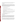CARE cooperative agreements are intended to last for two years. The estimated project period for awards resulting from this solicitation is October 2008 through September 2010.

# **D. Funding Type**

The funding for selected projects will be in the form of a cooperative agreement. Cooperative agreements permit substantial involvement between the EPA Project Officer and the selected applicants in the performance of the work supported. Although EPA will negotiate precise terms and conditions relating to substantial involvement as part of the award process, the anticipated substantial Federal involvement for this project may include:

- close monitoring of the recipient's performance;
- reviewing project progress reports;
- collaborating in the performance of the scope of work;
- review proposed procurements, in accordance with 40 C.F.R. 31.36(g);
- approving qualifications of key personnel (EPA will not select employees or contractors employed by the recipient);
- reviewing and commenting on content of publications (printed or electronic) prepared under the cooperative agreement (the final decision on the content of reports rests with the recipient);
- aiding the recipient and the community in understanding various networking opportunities at the federal, state, and local levels.

#### **SECTION III--Eligibility Information**

#### **A. Eligible Entities.**

To be an eligible entity, an entity must fall within the statutory terms of EPA's research and demonstration grant authorities. Local, public non-profit institution/organizations, federallyrecognized Indian tribal government, Native American organizations, private non-profit institution/organization, quasi-public nonprofit institution/organization both interstate and intrastate, local government, colleges, and universities could be eligible to apply for CARE funds.

A "non-profit organization", as defined by OMB Circular A-122, means any corporation, trust, association, cooperative, or other organization which: (1) is operated primarily for scientific, educational, service, charitable, or similar purposes in the public interest; (2) is not organized primarily for profit; and (3) uses its net proceeds to maintain, improve, and/or expand its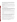operations. For this purpose, the term "non-profit organization" excludes (i) colleges and universities; (ii) hospitals; (iii) state, local, and federally-recognized Indian tribal governments; and (iv) those non-profit organizations which are excluded from coverage of this Circular in accordance with paragraph 5 of the Circular.

Non-profit organizations described in Section 501(c)(4) of the Internal Revenue Code that engage in lobbying activities as defined in Section 3 of the Lobbying Disclosure Act of 1995 are not eligible to apply.

State governments or their agencies are not eligible to apply. EPA hopes the CARE partnerships will work with State agencies as partners to support CARE projects and communities, where appropriate.

#### **B. Threshold Eligibility Requirements.**

These are requirements which if not met by the time of proposal submission will result in elimination of the proposal from consideration for funding. Only proposals that meet all of these criteria will be evaluated against the ranking factors in Section V of this solicitation. Applicants deemed ineligible for funding consideration as a result of the threshold eligibility review will be notified within 15 calendar days of the ineligibility determination.

1. Proposed projects must consist of activities within the statutory terms of EPA's research and demonstration grant authorities, as explained in Section I.D., Supplementary Information.

2. Proposals received for Level I projects in excess of the maximum value of \$100,000 will not be considered.

3. Proposals received for Level II projects in excess of the maximum value of \$300,000 will not be considered.

4. Applicants must apply for either a Level I or Level II agreement, **not both**, and they must state their Level I or Level II selection clearly in their proposal. An applicant that has already received a Level I Grant cannot apply for a second Level I grant and an applicant that has already received a Level II Grant cannot apply for a second Level II grant.

5. Only one proposal may be submitted per applicant organization. However, an applicant organization can be a partner for more than one CARE project proposal.

6. The proposal must be for a project in a community that meets the CARE definition in Section I. B.4., Definition of a CARE Community, and must be located in the United States or its territories.

7. Project proposals must be written in English. The minimum acceptable font size for the narrative proposal and the budget is 12 point; material in smaller font sizes will not be considered. Pages must have at least 1 inch margins on all sides.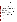8. Hard copy proposals will only be accepted by an **express delivery service.** EPA will not accept proposals sent by U.S. Postal Service. EPA will not accept proposals submitted via FAX or email.

9. a. Proposals must substantially comply with the proposal submission instructions and requirements set forth in Section IV of this announcement or else they will be rejected. However, where a page limit is expressed in Section IV with respect to the proposal, pages in excess of the page limitation will not be reviewed.

b. In addition, proposals must be received by the EPA or received through www.grants.gov, as specified in Section IV of this announcement, on or before the proposal submission deadline published in Section IV of this announcement. Applicants are responsible for ensuring that their proposal reaches the designated person/office specified in Section IV of the announcement by the submission deadline.

c. Proposals received after the submission deadline will be considered late and returned to the sender without further consideration unless the applicant can clearly demonstrate that it was late due to EPA mishandling. For hard copy submissions, where Section IV requires proposal receipt by a specific person/office by the submission deadline, receipt by an agency mailroom is not sufficient. Applicants should confirm receipt of their proposal with Dennis O'Connor (oconnor.dennis@epa.gov) as soon as possible after the submission deadline—failure to do so may result in your proposal not being reviewed.

 10. **Threshold Factor for Level II Proposals Only:** *There must be an established broad-based*   *most of the toxic risks in the community and established priorities for risk reduction. stakeholder group (as described in Section I.B.5) that has developed an understanding of all or* 

To be eligible for a Level II cooperative agreement, the applicant:

- must be leading or representing an existing collaborative partnership that represents the various constituencies in the community: citizens, businesses, and local government (additional appropriate partners can also be part of the partnership). A majority of the stakeholders in the partnership that did the prioritization must be part of the collaborative partnership that will be used for the Level II process. Specific commitments from the individual partners should be included in the proposal package. EPA expects that most of the community members or organizations that were part of the original work will continue to be part of the Level II partnership.
- **n** must be part or represent a stakeholder group that have completed a detailed examination of all or most of the toxic risks in the community including all environmental media (air, water, etc.). While EPA recognizes that it is possible for a community to look at a widerange of environmental risks and media, and come to consensus that they will work in only one environmental media, we believe it to be unlikely. Therefore, the proposal must include very clear evidence to demonstrate how the community-based partnership examined risks from a number of sources in a number of environmental media; and why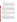the Level II grant proposes: a single project, or all or the vast majority of the work in one single medium.

- must be part or represent a stakeholder group that has come to consensus on the specific community priorities for risk reduction. It is not acceptable to have a process in which several different, unrelated groups did separate analyses of different risks and then the applicant takes the results from the separate groups and simply puts them together. Somewhere in the process there must be a single broad-based stakeholder group that will examine the risks across media and come to community-based consensus on the priority risks.
- must be prepared to choose a risk reduction activity to address to address the identified community priorities.

**PLEASE NOTE:** A collaborative stakeholder group, no matter how broad its constituents, which was convened about a specific kind of toxic or environmental pollutant source or environmental media must demonstrate that they did a detailed examination of more than that single source or class of toxics. For example, a group called "Good People Against Diesel Emissions", cannot state that they looked at all multi-media impacts of diesel emissions and then decided that diesel emissions were the top priority in the community. EPA does not consider this to be a "detailed examination of all or most of the toxic risks in the community including all environmental media."

#### **C. Are matching funds required?**

A specific level of cost sharing or matching funds is not required as a condition of eligibility, or otherwise, for project proposals to be selected for award. If matched dollars/in-kind work are included in a Level I proposal, they will not be used as additional weight in the Level I projects evaluation. However, the ability to leverage additional resources, technical or financial, from other applicants or partners will be evaluated for Level II projects (See Section V.A, Evaluation Criteria).

#### **SECTION IV--Proposal and Submission Information**

#### **A. How to Obtain Proposal Package**

EPA encourages applicants to obtain proposal materials and apply electronically through http://www.grants.gov. Applicants may also download individual grant application forms, or electronically request a paper application package and an accompanying computer CD of information related to applicant/grants recipients roles and responsibilities from EPA's Grants and Debarment Web site at: (http://www.epa.gov/ogd/grants/how\_to\_apply.htm). Potential applicants may request a paper copy of the application package by contacting the Agency contact listed in Section VII of this announcement. Note that only applicants selected for award will be asked to submit a full application package.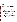#### **B. Content and Format of Proposal**

All proposals must contain the following mandatory items:

- 1. Standard Form 424 Application for Federal Assistance
- 2. Title Page

The title page shall contain the name address and phone number of organization applying, the name of a contact person, the location of the community (general information such as town/county and State not a long description, e.g., NE Metropolis, New York; Columbus and Lincoln Counties Florida; Springfield, Alaska), whether the application is for a Level I or a Level II cooperative agreement and the amount of money requested. The title page should have no other information.

3. Narrative Proposal and Detailed Itemized Budget (see Appendix B):

- The narrative project proposal must be a maximum of ten (10) pages in length. Pages in excess of ten will not be considered.
- Applicants for Level II cooperative agreements are also allowed to include up to five (5) attachments of no more than 50 TOTAL pages of substantiating materials (e.g. membership lists, meeting notes, reports)– These attachments should demonstrate that the Level 2 applicant has met the Level 2 threshold criteria for a Level II grant. The CARE Level 1 projects do not have to meet this criterion.
- If other information is included, it will be removed from the package and not considered.
- **These page limits do not include an optional cover letter or any pieces documenting third** party commitments (e.g., references or letters confirming commitments in the project ).
- **Pages must be numbered in order starting with the "Project Title" and continuing through** the "Key Personnel" sections.
- The narrative proposal must contain information that addresses the ranking factors in Section V of this solicitation and should conform to the following outline:

**I. Project Title** -- Please include the city, state/tribal identification in the title.

 **II. Organization Overview** -- An overview of the applicant's organization, its mission, and pertinent related experience.

**III. Community Profile** -- A profile of the community served by the proposed project including political and geographical boundaries, description of the community, and other information that would be useful to understand the target population. Please specify how you are defining the community, whether by political boundary such as county, by geographical boundary such as watershed or valley, or by neighborhood or any other definition.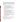**IV. Project Description** -- A summary of the project and an explicit description of how the proposed project specifically addresses each of the applicable evaluation criteria in Section V. Applicants must submit information addressing, and responding to each of the evaluation factors in Section V. To assist potential applicants in the preparation of their proposals, EPA has provided "suggested types of information" in Appendix C that will help the applicant respond to the requirements of the Evaluation Criteria elements specified in Section V.

Level I project description should include a reasonable level of detail on the:

- Project's purpose, in a brief concise paragraph
- Extent of environmental and public health problem affecting the community
- Project goals and performance plan with proposed timeline
- Community involvement/collaboration/partnership
- Alignment with the CARE strategies (as identified in Section I.B.2)
- Tracking and measuring environmental results, including a plan with milestones for tracking and measuring progress towards achieving the expected project's outcomes and outputs
- Applicant's programmatic capability

Level II project description should include a reasonable level of detail on the:

- Project's purpose, in a brief concise paragraph
- Environmental issues and community concerns including both those considered and the ones identified to be addressed by the project
- Project goals and performance plan with proposed timeline
- Names of the members of the broad-based stakeholder group (those who participated in Level I work and those who will be part of the Level II project).
- Results of the Level I work including the priority risks
- Ability to leverage new resources and sustain community efforts to understand and improve the environment
- Project's alignment with CARE strategies (as identified in Section I.B.2)
- Tracking and measuring of environmental results, including a tracking and measurement plan with milestones, that address the progress of achieving the expected project outcomes and outputs
- Applicant's programmatic capability

**V. Key Personnel** -- Brief biographical sketches of key technical experts who will be involved in the proposed project.

**VI. Budget** – A detailed budget which reflects the tasks/activities proposed for the CARE project. In addition, please provide an approximation of the percentage of the budget designated for each major activity. (See Appendix B)

Please provide the following in your detailed itemized budget:

• Personnel Cost (if any )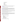- Fringe Benefits (if any)
- Contractual Costs
- Travel
- Equipment
- Supplies
- Other
- Total Direct Costs
- Total Indirect Costs

4. Applicants must submit one original proposal signed by an authorized organization official and two complete copies, unless the proposals are submitted electronically through "www.grants.gov."

# **C. Proposal Submission Dates and Times**

The deadline for submission of hard copy proposal packages is **6:00 p.m., EST** on March 17, 2008**.** All hard copies of proposal packages must be received by 6:00 p.m., EST on the closing date in order to be considered for funding. Electronic submissions must be submitted via www.grants.gov by March 17, 2008 at 11:59pm EST. Proposals received after the closing date and time will not be considered for funding.

Final (full) grant applications will be requested only from those eligible entities whose proposals have been tentatively selected for award. Additional instructions for final application packages will be provided when the applicant is notified of the tentative selection.

# **D. Instructions for Hard Copy Submission.**

Hard copies will only be accepted if sent by an **express delivery service.** EPA will not accept proposals sent by U.S. Postal Service. (See Section III.B., Threshold Eligibility Requirements) Applicants must send one original proposal signed by an authorized organization official and two complete copies (a total of three copies) to:

# Express Delivery Address (FedEx, UPS, DHL, etc.) US EPA

Attn: CARE Program (Larry Weinstock) Mail Code 8001A 5426 ARN 1200 Pennsylvania Avenue, NW Washington, DC 20460 Phone: 202-564-7400

# **E. Instructions for Submission via Grants.gov.**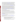The electronic submission of your application must be made by an official representative of your institution who is registered with Grants.gov and is authorized to sign applications for Federal assistance. For more information, go to http://www.grants.gov and click on "Get Registered" on the left side of the page. *Note that the registration process may take a week or longer to complete.* If your organization is not currently registered with Grants.gov, please encourage your office to designate an AOR and ask that individual to begin the registration process as soon as possible. **Please note you must register in advance and cannot do this at the last minute.** 

To begin the application process under this solicitation, go to http://www.grants.gov and click on the "Apply for Grants" tab on the left side of the page. Then click on "Apply Step 1: Download a Grant Application Package and Instructions" to download the PureEdge viewer and obtain the application package for the announcement. To download the PureEdge viewer click on the "PureEdge Viewer" link. Once you have downloaded the viewer, you may retrieve the application package by entering the Funding Opportunity Number, EPA-OAR-IO-08-02, or the CFDA number that applies to the announcement (CFDA 66.035), in the appropriate field. You may also be able to access the application package by clicking on the button "Application" at the top right of the synopsis page for this announcement on http://www.grants.gov (to find the synopsis page, go to http://www.grants.gov and click on the "Find Grant Opportunities" button on the left side of the page and then go to Search Opportunities and use the Browse by Agency feature to find EPA opportunities).

# **ATTENTION – Microsoft Vista and Word 2007 Users**

Please note that Grants.gov does not currently support the new Microsoft Vista Operating system. The PureEdge software used by Grants.gov for forms is not compatible with Vista. Grants.gov will be reviewing this new product to determine if it can be supported in the future.

In addition, the new version of Microsoft Word saves documents with the extension .DOCX. The Grants.gov system does not process Microsoft Word documents with the extension .DOCX. When submitting Microsoft Word attachments to Grants.gov, please use the version of Microsoft Word that ends in .DOC.

If you have any questions regarding this matter please email the Grants.gov Contact Center at support@grants.gov or call 1-800-518-4726.

Grants.gov Proposal Submission Deadline: Your organization's AOR must submit your complete application electronically to EPA through Grants.gov (http://www.grants.gov) no later than March 17, 2008 at 11:59 p.m.

If applying thru Grants.gov, please submit *all* of the application materials described below.

- **1. Standard Form (SF) 424, Application for Federal Assistance**  Complete the form. There are no attachments. Please note that the organizational Dun and Bradstreet (D&B) Data Universal Number System (DUNS) number must be included on the SF-424. See Section IV.G below.
- **2. Narrative Proposal (attached as Project Narrative Attachment Form on**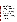**Grants.gov)** developed following the instructions in Section IV., B.4., above.

#### **Application Preparation and Submission Instructions**

**Document 1** listed above should appear in the "Mandatory Documents" box on the Grants.gov, "Grant Application Package" page.

**For document 1**, click on the appropriate form and then click "Open Form" below the box. The fields that must be completed will be highlighted in yellow. Optional fields and completed fields will be displayed in white. If you enter an invalid response or incomplete information in a field, you will receive an error message. When you have finished filling out each form, click "Save." When you return to the electronic Grant Application Package page, click on the form you just completed, and then click on the box that says, "Move Form to Submission List." This action will move the document over to the box that says, "Mandatory Completed Documents for Submission."

**For document 2**, you will need to attach electronic files. Prepare your narrative proposal using the format outlined above (in Section IV., B.3. above) and save the document to your computer as a MicroSoft (MS) Word or WordPerfect file. (U.S. EPA prefers to receive documents in MS Word, but documents prepared in WordPerfect will also be accepted.) When you are ready to attach your Narrative Proposal to the application package, click on "Project Narrative Attachment Form," and open the form. Click "Add Mandatory Project Narrative File," and then attach your Work Plan (previously saved to your computer) using the browse window that appears. You may then click "View Mandatory Project Narrative File" to view it. Enter a brief descriptive title of your project in the space beside "Mandatory Project Narrative File Filename;" the filename should be no more than 40 characters long. If there are other attachments that you would like to submit to accompany your Work Plan, you may click "Add Optional Project Narrative File" and proceed as before. When you have finished attaching the necessary documents, click "Close Form." When you return to the "Grant Application Package" page, select the "Project Narrative Attachment Form" and click "Move Form to Submission List." The form should now appear in the box that says, "Mandatory Completed Documents for Submission."

Once you have finished filling out all of the forms/attachments and they appear in one of the "Completed Documents for Submission" boxes, click the "Save" button that appears at the top of the Web page. It is suggested that you save the document a second time, using a different name, since this will make it easier to submit an amended package later if necessary. Please use the following format when saving your file: "Applicant Name –  $FY08 - Assoc Prog Supp - 1<sup>st</sup> Submission" or "Application Name - FY 08 Assoc Prog$ Supp – Back-up Submission." If it becomes necessary to submit an amended package at a later date, then the name of the  $2<sup>nd</sup>$  submission should be changed to "Applicant Name – FY08 Assoc Prog Supp  $-2<sup>nd</sup>$  Submission."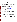Once your application package has been completed and saved, send it to your AOR for submission to U.S. EPA through Grants.gov. Please advise your AOR to close all other software programs before attempting to submit the application package through Grants.gov.

In the "Application Filing Name" box, your AOR should enter your organization's name (abbreviate where possible), the fiscal year (e.g., FY08), and the grant category (e.g., Assoc Prog Supp). The filing name should not exceed 40 characters. From the "Grant Application Package" page, your AOR may submit the application package by clicking the "Submit" button that appears at the top of the page. The AOR will then be asked to verify the agency and funding opportunity number for which the application package is being submitted. If problems are encountered during the submission process, the AOR should reboot his/her computer before trying to submit the application package again. [It may be necessary to turn off the computer (not just restart it) before attempting to submit the package again.]

If the AOR continues to experience submission problems, he/she may contact Grants.gov for assistance by phone at 1-800-518-4726 or email at support@grants.gov or oconnor.dennis@epa.gov.

Proposal packages submitted thrugrants.gov will be time/date stamped electronically.

#### **F. Confidential Business Information.**

In accordance with 40 CFR 2.203, applicants may claim all or a portion of their application/proposal as confidential business information. EPA will evaluate confidentiality claims in accordance with 40 CFR Part 2. Applicants must clearly mark applications/proposals or portions of applications/proposals they claim as confidential. If no claim of confidentiality is made, EPA is not required to make the inquiry to the applicant otherwise required by 40 CFR  $2.204(c)(2)$  prior to disclosure.

#### **G. Pre-proposal/Application Assistance and Communications.**

In accordance with EPA's Assistance Agreement Competition Policy (EPA Order 5700.5A1), EPA staff will not meet with individual applicants to discuss draft proposals, provide informal comments on draft proposals, or provide advice to applicants on how to respond to ranking criteria. Applicants are responsible for the contents of their applications/proposals. However, consistent with the provisions in the announcement, EPA will respond to questions from individual applicants regarding threshold eligibility criteria, administrative issues related to the submission of the proposal, and requests for clarification about the announcement.

#### **H. Management Fees**

Management Fees: When formulating budgets for proposals/applications, applicants must not include management fees or similar charges in excess of the direct costs and indirect costs at the rate approved by the applicants cognizant audit agency, or at the rate provided for by the terms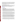of the agreement negotiated with EPA. The term "management fees or similar charges" refers to expenses added to the direct costs in order to accumulate and reserve funds for ongoing business expenses, unforeseen liabilities, or for other similar costs that are not allowable under EPA assistance agreements. Management fees or similar charges may not be used to improve or expand the project funded under this agreement, except to the extent authorized as a direct cost of carrying out the scope of work.

#### **I. Data Universal Number System (DUNS) Number**

All applicants **are required** to provide a Dun and Bradstreet (D&B) Data Universal Numbering System (DUNS) number when applying for a federal grant or cooperative agreement. Applicants can receive a DUNS number, at no cost, by calling the dedicated toll-free DUNS Number request line at 1-866-705-5711, or by visiting the D&B web-site at: http://www.dnb.com.

#### **J. Past Performance**

#### **Programmatic Capability**

**i. Programmatic Capability:** Submit a list of federally funded assistance agreements **(assistance agreements include Federal grants and cooperative agreements but not Federal contracts)** similar in size, scope and relevance to the proposed project that your organization performed within the last three years (no more than 5, and preferably EPA agreements) and describe (i) whether, and how, you were able to successfully complete and manage those agreements and (ii) your history of meeting the reporting requirements under those agreements including submitting acceptable final technical reports.

\*In evaluating applicants under these factors in Section V, EPA will consider the information provided by the applicant and may also consider relevant information from other sources, including information from EPA files and from current and prior Federal agency grantors (e.g., to verify and/or supplement the information provided by the applicant). If you do not have any relevant or available past performance or reporting information, please indicate this in the proposal and you will receive a neutral score for these factors under Section V.

**ii. Reporting on Environmental Results--Outcomes and Outputs:** Submit a list of federally funded assistance agreements **(assistance agreements include Federal grants and cooperative agreements but not Federal contracts)** that **your organization** performed within the last three years ( no more than 5, and preferably EPA agreements**),** and describe how you documented and/or reported on whether you were making progress towards achieving the expected results (e.g., outputs and outcomes) under those agreements. If you were not making progress, please indicate whether, and how, you documented why not.

\*In evaluating applicants under this factor in Section V, EPA will consider the information provided by the applicant and may also consider relevant information from other sources, including information from EPA files and from current and prior Federal agency grantors (e.g., to verify and/or supplement the information provided by the applicant). If you do not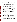have any relevant or available environmental results past performance information, please indicate this in the proposal and you will receive a neutral score for this factor under Section V.

#### **K. Partnerships, Contractors and Subawards**

#### **i. Can funding be used for the applicant to make subawards, acquire contract services, or fund partnership?**

EPA awards funds to one eligible applicant as the recipient even if other eligible applicants are named as partners or co-applicants or members of a coalition or consortium. The recipient is accountable to EPA for the proper expenditure of funds.

contained in 40 CFR Parts 30 or 31, as appropriate. Applicants must compete contracts Funding may be used to provide subgrants or subawards of financial assistance, which includes using subawards or subgrants to fund partnerships, provided the recipient complies with applicable requirements for subawards or subgrants including those for services and products, including consultant contracts, and conduct cost and price analyses to the extent required by the procurement provisions of the regulations at 40 CFR Parts 30 or 31, as appropriate. The regulations also contain limitations on consultant compensation. Applicants are not required to identify subawardees/subgrantees and/or contractors (including consultants) in their proposal/application. However, if they do, the fact that an applicant selected for award has named a specific subawardee/subgrantee, contractor, or consultant in the proposal/application EPA selects for funding does not relieve the applicant of its obligations to comply with subaward/subgrant and/or competitive procurement requirements as appropriate. Please note that applicants may not award sole source contracts to consulting, engineering or other firms assisting applicants with the proposal solely based on the firm's role in preparing the proposal/application.

 funding mechanism. Successful applicants cannot use subgrants or subawards to avoid requirements in EPA grant regulations for competitive procurement by using these instruments to acquire commercial services or products from for-profit organizations to carry out its assistance agreement. The nature of the transaction between the recipient and the subawardee or subgrantee must be consistent with the standards for distinguishing between vendor transactions and subrecipient assistance under Subpart B Section .210 of OMB Circular A-133 , and the definitions of subaward at 40 CFR 30.2(ff) or subgrant at 40 CFR 31.3, as applicable. EPA will not be a party to these transactions. Applicants acquiring commercial goods or services must comply with the competitive procurement standards in 40 CFR Part 30 or 40 CFR Part 31.36 and cannot use a subaward/subgrant as the

#### **ii. How will an applicant's proposed subawardees/subgrantees and contractors be considered during the evaluation process described in Section V of the announcement?**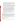Section V of the announcement describes the evaluation criteria and evaluation process that will be used by EPA to make selections under this announcement. During this evaluation, except for those criteria that relate to the applicant's own qualifications, past performance, and reporting history, the review panel will consider, if appropriate and relevant, the qualifications, expertise, and experience of:

(i) an applicant's named subawardees/subgrantees identified in the proposal/application if the applicant demonstrates in the proposal/application that if it receives an award that the subaward/subgrant will be properly awarded consistent with the applicable regulations in 40 CFR Parts 30 or 31. For example, applicants must not use subawards/subgrants to obtain commercial services or products from for profit firms or individual consultants.

(ii) an applicant's named contractor(s), including consultants, identified in the proposal/application if the applicant demonstrates in its proposal/application that the contractor(s) was selected in compliance with the competitive Procurement Standards in 40 CFR Part 30 or 40 CFR 31.36 as appropriate. For example, an applicant must demonstrate that it selected the contractor(s) competitively or that a proper noncompetitive sole-source award consistent with the regulations will be made to the contractor(s), that efforts were made to provide small and disadvantaged businesses with opportunities to compete, and that some form of cost or price analysis was conducted. EPA may not accept sole source justifications for contracts for services or products that are otherwise readily available in the commercial marketplace.

EPA will not consider the qualifications, experience, and expertise of named subawardees/subgrantees and/or named contractor(s) during the proposal/application evaluation process unless the applicant complies with these requirements.

# **L. Final Application Packages**

Following EPA's evaluation of proposals/applications, all applicants will be notified regarding their status. Only the applicants whose proposals are tentatively selected will be required to submit a final cooperative agreement application package to their EPA Regional office. Final applications will be requested from those eligible entities whose proposal has been successfully evaluated and preliminarily recommended for award. Those entities will be provided with instructions and a due date for submittal of the final application package.

Applicants will also be required to submit quarterly and final progress reports in accordance with grants regulations found in 40 Code of Federal Regulations (CFR) 30.51 or 40 CFR 31.40.

# **SECTION V--Proposal Review Information**

# **A. Evaluation Criteria.**

Each applicant's proposal that meets the threshold criteria in Section III will be evaluated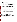in Appendix C when writing your proposal. according to the criteria set forth below. **EPA strongly suggests that you refer to the guidance** 

 **submittal and must state whether they are applying for a Level I or Level II agreement.** Applicants must clearly and explicitly address these criteria as part of their proposal

Each proposal will be rated under the specific Levels' point system, with a total of 100 points possible.

# **LEVEL I PROPOSAL EVALUTION CRITERIA**

**For the award of Level I cooperative agreements, the proposals will be evaluated on the following criteria:** 

| <b>Level I Evaluation Criteria</b>                                                                                                                                                                                                                                                                                                                                                                                                                                                                                            | <b>Maximum</b><br>Points per<br>criterion |
|-------------------------------------------------------------------------------------------------------------------------------------------------------------------------------------------------------------------------------------------------------------------------------------------------------------------------------------------------------------------------------------------------------------------------------------------------------------------------------------------------------------------------------|-------------------------------------------|
| 1. Extent of environment and public health problems: Proposals will be evaluated based<br>on the extent the community is:                                                                                                                                                                                                                                                                                                                                                                                                     |                                           |
| impacted by toxic pollution by various environmental media (air, water, land,<br>п<br>indoor environments, etc.), including significant community exposures to<br>toxics and environmental pollutants from multiple sources and/or multiple<br>stresses to the local environment, and/or,                                                                                                                                                                                                                                     |                                           |
| impacted by multiple stresses on economically disadvantaged communities<br>п<br>and/or vulnerable communities and populations.                                                                                                                                                                                                                                                                                                                                                                                                |                                           |
| <b>Note:</b> Proposals that describe multiple environmental concerns, instead of a single<br>environmental threat, may be given more weight in the evaluation process.                                                                                                                                                                                                                                                                                                                                                        |                                           |
| 2. Project Goals and Performance Plan: The proposal will be evaluated on the extent and<br>detail to which the project presents a comprehensive, well thought-out performance plan with<br>activities, milestones, and timelines to achieve the identified goals of the CARE project<br>including coming to consensus on priority risks, while remaining in line with the project<br>budget, and how the project will assist the partnership to be ready to apply in the future for a<br>CARE Level II cooperative agreement. | 25                                        |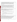| 3. Community Involvement/Collaboration/Partnerships: The proposals will be evaluated<br>based on the applicant organizational capacity and its ability to organize and run an effective<br>collaborative partnership (e.g., citizens, businesses, governments, academic institutions, non-<br>profit organizations) and any other appropriate partners. The partnership must include all<br>parties necessary to identify sources of toxics and environmental pollutants, set priorities, and<br>bring about solutions.<br>Any gaps in membership representation (e.g., community organizations, personnel or citizens<br>not now participating), and how those gaps will be addressed, should be described. Proposals<br>with detailed letters of specific commitment (explaining how the committed entity will act in<br>partnership with the applicant) from partnership members will be scored higher than<br>proposals which do not have them, or only include letters of general support. Proposals with<br>letters of commitment from multiple stakeholders representing different types of interests will<br>be scored higher than those with only a few stakeholders or with only a few types of interests<br>represented. |           |
|-------------------------------------------------------------------------------------------------------------------------------------------------------------------------------------------------------------------------------------------------------------------------------------------------------------------------------------------------------------------------------------------------------------------------------------------------------------------------------------------------------------------------------------------------------------------------------------------------------------------------------------------------------------------------------------------------------------------------------------------------------------------------------------------------------------------------------------------------------------------------------------------------------------------------------------------------------------------------------------------------------------------------------------------------------------------------------------------------------------------------------------------------------------------------------------------------------------------------------------|-----------|
| 4. Alignment with CARE Strategies: In the "Scope of CARE Projects" section (I.B.2) of<br>this solicitation, the CARE program has identified six strategies to achieve its goals.<br>Proposals will be evaluated based on the extent and quality to which they demonstrate how<br>they will address the following three CARE strategies:<br>Provide information, and a variety of tools, and technical assistance to help<br>п<br>communities understand and assess all potential potential sources of exposure to toxic<br>pollutants.<br>Focus on action and mobilize local resources and utilize EPA voluntary programs to<br>п<br>carry out risk reduction activities.<br>Build effective, long-term, collaborative partnerships that include community<br>п<br>organizations and residents, businesses, and governments and other appropriate<br>partners.<br>Each strategy is worth five points.                                                                                                                                                                                                                                                                                                                               | 15        |
| 5. Tracking and Measuring Environmental Results: The proposal will be evaluated on the<br>effectiveness of the proposed plan for tracking and measuring of the expected environmental<br>results, particularly documenting progress toward finalizing project activities and achieving<br>the expected project outputs and outcomes; including those identified in Section I.C and<br>Appendix A of the solicitation. The applicants should clearly specify the performance<br>measures they will be tracking. The performance measures should focus on solid,<br>quantitative measures related to the project activities, outputs, and outcomes.                                                                                                                                                                                                                                                                                                                                                                                                                                                                                                                                                                                   | <b>10</b> |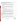| 6. Programmatic Capability/Reporting Environmental Results:<br>Proposals will be evaluated based on the degree and detail to which they describe and<br>demonstrate the applicant's ability to successfully complete and manage the proposed project,<br>taking into account the following factors:                                                                                                                                                                                                          |  |
|--------------------------------------------------------------------------------------------------------------------------------------------------------------------------------------------------------------------------------------------------------------------------------------------------------------------------------------------------------------------------------------------------------------------------------------------------------------------------------------------------------------|--|
| its past performance in successfully completing and managing federally-funded<br>assistance agreements similar in size, scope, and relevance to the proposed project<br>performed within the last three years (no more than five projects, and preferably EPA<br>projects);                                                                                                                                                                                                                                  |  |
| its history of meeting reporting requirements under federally-funded assistance<br>п<br>agreements similar in size, scope, and relevance to the proposed project performed<br>within the last three years and submitting acceptable final technical reports under<br>those agreements;                                                                                                                                                                                                                       |  |
| its organizational experience and plan for timely and successfully achieving the<br>objectives of the proposed project;                                                                                                                                                                                                                                                                                                                                                                                      |  |
| its staff expertise/qualifications, staff knowledge, and resources or the ability to obtain<br>them, to successfully achieve the goals of the proposed project; and                                                                                                                                                                                                                                                                                                                                          |  |
| the extent and quality to which they adequately documented and/or reported on their<br>progress towards achieving the expected results (e.g., outcomes and outputs) under<br>Federal agency assistance agreements performed within the last three years, and if<br>such progress was not being made whether the applicant adequately documented<br>and/or reported why not.                                                                                                                                  |  |
| <b>Note:</b> In evaluating proposals under this factor, EPA will consider the information provided<br>by the applicant and may also consider relevant information from other sources including<br>Agency files and prior/current grantors (e.g., to verify and/or supplement the information<br>supplied by the applicant). Applicants with no relevant or available past performance<br>reporting history in the first, second, and last bullets will receive a neutral score (5 pts) for<br>these factors. |  |
| Each item is worth 2 points.<br>LEVEL II PROPOSAL EVALUATION CRITERIA                                                                                                                                                                                                                                                                                                                                                                                                                                        |  |

**For the award of Level II cooperative agreements, proposals will be evaluated based on the following criteria:** 

| <b>Points per</b><br><b>Evaluation Criteria</b><br>criterion |
|--------------------------------------------------------------|
|--------------------------------------------------------------|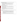| 1. Environmental issues and concerns: Proposals will be evaluated based on the extent and<br>detail they demonstrate the community is:<br>impacted by toxic pollution by various environmental media (air, water, land, indoor<br>environments, etc.), including significant community exposures to toxics and<br>environmental pollutants from multiple sources and/or multiple stresses to the local<br>environment, and/or,<br>impacted by multiple stresses on economically disadvantaged communities and/or<br>٠<br>vulnerable communities and populations.<br>10<br>Applicants should note the following:<br>Additional points will be given to proposals that are able to factually detail their unique<br>٠<br>multi-media concerns and how those concerns were identified and prioritized by a<br>community-based consensus.<br>Information that is specific to the community served by the project will be given more<br>ш<br>weight than general information.<br>Proposals that clearly describe the process by which the set of multiple environmental<br>ш<br>concerns went through the prioritization process may be given more weight in the<br>evaluation process. |    |
|------------------------------------------------------------------------------------------------------------------------------------------------------------------------------------------------------------------------------------------------------------------------------------------------------------------------------------------------------------------------------------------------------------------------------------------------------------------------------------------------------------------------------------------------------------------------------------------------------------------------------------------------------------------------------------------------------------------------------------------------------------------------------------------------------------------------------------------------------------------------------------------------------------------------------------------------------------------------------------------------------------------------------------------------------------------------------------------------------------------------------------------------------------------------------------|----|
| 2. Project Goals and Performance Plan: The proposal will be evaluated on the extent to<br>which<br>the project presents a detailed, comprehensive, well thought-out performance plan<br>with activities, milestones, and timelines to achieve the identified goals of the<br>CARE project while remaining in line with the project budget, and how the project<br>assists to continue a sustainable partnership to continue addressing the community<br>environmental concerns.<br>the goals of the project are based on and consistent with the risk prioritization<br>$\bullet$<br>process identified through the collaborative stakeholder process (Level I activities).                                                                                                                                                                                                                                                                                                                                                                                                                                                                                                        | 25 |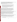| 3 Past and Continued Success of Broad-Based Stakeholder Group: Under this criterion,<br>proposals will be evaluated based on the current and expected future inclusiveness,<br>effectiveness, and overall success of the existing collaborative partnership and broad-based<br>stakeholder group and the processes it used to acquire Level I information and build<br>community-based consensus up to this point.<br>Inclusiveness looks at how broad based the partnership is and whether the participants<br>represent the various interests in the community and how it made consensus decisions.<br>Effectiveness looks at the multi-media nature and depth of the examination of toxics<br>and environmental pollutants in the community and how the current group (or a new<br>version of the group) will ensure progress and productive performance.<br>Success looks at the group's ability to build consensus on choosing their priority risks<br>п<br>and developing a sustainable partnership.<br>The proposal should also explain why the applicant is the appropriate recipient of the CARE<br>funds for the partnership. Proposals with detailed letters of specific commitment from the<br>partnership members (explaining how the committed entity will act in partnership with the<br>applicant) will be scored higher than applications which only general letters of support or those<br>proposals that are applicant-sponsored only. Proposals with letters of commitment from<br>multiple stakeholders representing different types of interests will be scored higher than those<br>with only a few stakeholders or with only a few types of interests represented. | 20 |
|--------------------------------------------------------------------------------------------------------------------------------------------------------------------------------------------------------------------------------------------------------------------------------------------------------------------------------------------------------------------------------------------------------------------------------------------------------------------------------------------------------------------------------------------------------------------------------------------------------------------------------------------------------------------------------------------------------------------------------------------------------------------------------------------------------------------------------------------------------------------------------------------------------------------------------------------------------------------------------------------------------------------------------------------------------------------------------------------------------------------------------------------------------------------------------------------------------------------------------------------------------------------------------------------------------------------------------------------------------------------------------------------------------------------------------------------------------------------------------------------------------------------------------------------------------------------------------------------------------------------------------------------------------------------------------------------|----|
| 4. Ability to Leverage New Resources and Sustain Community Efforts to Understand and<br>Improve the Environment: Proposals will be evaluated based on the demonstrated extent and<br>detail to which the applicant can demonstrate its ability to use the work and results of the<br>CARE project and the broad-based stakeholder partnership to leverage other resources<br>including technical assistance and volunteer resources to expand and sustain their efforts to<br>understand and improve the local environment and continue addressing the community's<br>prioritized concerns.                                                                                                                                                                                                                                                                                                                                                                                                                                                                                                                                                                                                                                                                                                                                                                                                                                                                                                                                                                                                                                                                                                | 15 |
| <b>5. Alignment with CARE Strategies:</b> In the "Scope of CARE Projects" section (I.B.2) of this<br>solicitation, the CARE program has identified six strategies to achieve its goals. Proposals will<br>be evaluated based on the extent and quality to which they demonstrate how the work proposed<br>for Level II cooperative agreements will address the following two CARE strategies:<br>Focus on action and mobilize local resources and utilize voluntary programs to carry<br>out risk reduction activities;                                                                                                                                                                                                                                                                                                                                                                                                                                                                                                                                                                                                                                                                                                                                                                                                                                                                                                                                                                                                                                                                                                                                                                    | 10 |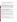| Build effective collaborative partnerships that include community organizations and<br>$\blacksquare$<br>residents, businesses, and governments and other appropriate partners.<br>Build long-term community capacity to continue improving the local environment.<br>п<br>Each strategy is worth 5 points.                                                                                                                                                                                                                                                                                                                                                                        |    |
|------------------------------------------------------------------------------------------------------------------------------------------------------------------------------------------------------------------------------------------------------------------------------------------------------------------------------------------------------------------------------------------------------------------------------------------------------------------------------------------------------------------------------------------------------------------------------------------------------------------------------------------------------------------------------------|----|
| 6. Tracking and Measuring Environmental Results: The proposal will be evaluated on the<br>extent and detail of a comprehensive proposed plan for an effective tracking and measuring of<br>the expected environmental results, particularly documenting progress toward finalizing<br>project's activities and achieving the expected project outputs and outcomes; including those<br>identified in Section I.C and Appendix A of the solicitation. The applicants should clearly<br>specify the performance measures they will be tracking. The performance measures should<br>focus on solid, quantitative measures related to the project's activities, outputs, and outcomes. | 10 |
| 7. Programmatic Capability/Reporting Environmental Results:<br>Under this criterion, applicants will be evaluated based on their ability to successfully complete<br>and manage the proposed project and to the extent and quality to which they adequately<br>documented and/or reported on their progress towards achieving the expected results (e.g.,<br>outcomes and outputs) taking into account the applicant's:                                                                                                                                                                                                                                                            | 10 |
| (i) past performance in successfully completing and managing federally funded assistance<br>agreements (assistance agreements include Federal grants and cooperative agreements but not<br>Federal contracts) similar in size, scope, and relevance to the proposed project performed<br>within the last 3 years,                                                                                                                                                                                                                                                                                                                                                                  |    |
| (ii) history of meeting reporting requirements under federally funded assistance agreements<br>(assistance agreements include Federal grants and cooperative agreements but not Federal<br>contracts) similar in size, scope, and relevance to the proposed project performed within the<br>last 3 years and submitting acceptable final technical reports under those agreements,                                                                                                                                                                                                                                                                                                 |    |
| (iii) organizational experience and plan for timely and successfully achieving the objectives of<br>the proposed project,                                                                                                                                                                                                                                                                                                                                                                                                                                                                                                                                                          |    |
| (iv) staff expertise/qualifications, staff knowledge, and resources or the ability to obtain them,<br>to successfully achieve the goals of the proposed project., and                                                                                                                                                                                                                                                                                                                                                                                                                                                                                                              |    |
| (v) the achievement, documentation and reporting of their environmental progress and if such<br>progress was not being made whether the applicant adequately documented and/or reported                                                                                                                                                                                                                                                                                                                                                                                                                                                                                            |    |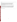# why not.

Note: In evaluating applicants under this criterion, the Agency will consider the information provided by the applicant and may also consider relevant information from other sources including agency files and prior/current grantors (e.g., to verify and/or supplement the information supplied by the applicant). Applicants with no relevant or available past performance or reporting history (items i and ii above), will receive a neutral score (5 pts) for those elements of this criterion.

*Note*: In evaluating proposals under this factor, EPA will consider the information provided by the applicant and may also consider relevant information from other sources including Agency files and prior/current grantors (e.g., to verify and/or supplement the information supplied by the applicant). Applicants with no relevant or available past performance reporting history in the first, second, and last bullets will receive a neutral score (1 pt for each bullet) for these factors.

Each item is worth 2 points.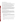### **B. Review and Selection Process.**

#### Eligibility Determination and EPA Regional Review and Ranking

Step 1: All Level I and II proposals will first be evaluated by EPA Headquarters staff to see if they meet the threshold criteria identified in Section III. Those that do not meet the threshold criteria will be considered ineligible and will not be scored or considered further.

Step 2: An Evaluation Team in each EPA regional office will then evaluate the eligible proposals from the states covered by their region based on the ranking criteria described in Section V.A. The appropriate regional office will be determined by the location of the community served by the project and not by the location of the applicant.

Step 3: After the evaluation is complete, the regional offices that reviewed proposals will forward to the National Selection Committee (described below) the two (2) highest ranked Level I and Level II proposals, or any combination of their four highest ranked proposals (e.g., three Level I and one Level II). Regions can forward up to four (4) proposals to the National Selection Committee, although they can send less than four (4) depending on the quality of proposals received and reviewed.

#### EPA National Selection Committee Determination

Step 4: As described above, the highest ranked proposals, based on the evaluation of the proposals against the Section V.A. criteria, from EPA regional offices will be referred to the National Selection Committee for further evaluation. The National Selection Committee will consist of staff from a cross section of EPA programs and regional offices. The National Selection Committee will consider and review the highest ranking proposals received from the regions against the following other factors:

- An appropriate balance of Level I and Level II projects;
- Geographic balance of projects within each EPA region and throughout the nation geographic diversity of all of the CARE funded projects collectively is preferable, so two projects in the same city or county are unlikely (see the listing of past funded CARE projects at www.epa.gov/care.)
- The diverse environmental nature of the projects (different major environmental concerns addressed);
- Type of community (rural, urban, low-income, minority, vulnerable population, etc.);
- Type of grantee (tribe, community group, local government agency, university);
- The extent to which the projected use of funds will be spent to directly benefit the community.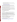- **Projects whose environment and/or public health benefits can be sustained after the** cooperative agreement is completed: and
- **Projects that are consistent with the priorities established in the Regional Strategic Plans.** EPA Regional Strategic Plans can be found at: www.epa.gov/ocfo/regionplans/regionalplans2.htm

Step 5: Final proposal selection recommendations will be made by the National Selection Committee to the Selecting Official from among the highest ranked proposals and based on consideration of the other factors identified in Step 4 above.

Step 6: Final applications for cooperative agreement funding will be requested only from those eligible entities whose initial proposals have been tentatively selected for funding**.** EPA will notify selected applicants on or before October 1, 2008.

Step 7: The regional grants office will review the final application for cooperative agreement funding and will work with the regional project officer to finalize a project work plan. Once the final application and work plan are approved, the regional grants office will notify the applicant that it has been formally approved for selection and funding.

# **Section VI--Award Administration Information**

# **A. Award Notices**

Following final selections, all applicants will be notified regarding their application's status.

EPA anticipates notification to *successful* applicant(s) will be made via telephone, electronic or postal mail by October 1, 2008 by the corresponding EPA regional grants offices. This notification, which advises that the applicant's proposal has been selected and is being recommended for award, is not an authorization to begin performance. The award notice signed by the EPA grants officer is the authorizing document and will be provided through postal mail, and issues after the cooperative agreement is negotiated. At a minimum, this process can take up to 90 days from the date of selection.

 notification will be sent to the original signer of the application. EPA anticipates notification to *unsuccessful* applicant(s) will be made by the corresponding EPA regional office via electronic or postal mail by October 1, 2008. In either event, the

# **B. Administrative and National Policy Requirements**

A listing and description of general EPA Regulations applicable to the award of federal assistance agreements may be viewed at: http://www.epa.gov/ogd/AppKit/applicable\_epa\_regulations\_and\_description.htm.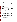This program may be eligible for coverage under Executive Order 12372, "Intergovernmental Review of Federal Programs." An applicant should consult the office or official designated as the single point of contact in the state where the proposed project will be conducted for more information on the process the state requires to be followed in applying for assistance, if the state has selected the program for review (http://www.whitehouse.gov/omb/grants/spoc.html). This review is not required with the initial proposal and not all states require such a review.

Grants and agreements with institutions of higher education are subject to 40 CFR Parts 30 and 40 and OMB circular A-122 for non-profits and A-21 for institutions of higher learning.

Programmatic terms and conditions in the cooperative agreements will be negotiated between EPA and the selected recipient.

#### **C. Non-profit Administrative Capability**

Non-profit applicants that are recommended for funding under this solicitation are subject to preaward administrative capability reviews consistent with Section 8b, 8c and 9d of EPA Order 5700.8 - *Policy on Assessing Capabilities of Non-Profit Applicants for Managing Assistance Awards* (http://www.epa.gov/ogd/grants/award/5700\_8.pdf). In addition, non-profit applicants that qualify for funding may, depending on the size of the award, be required to fill out and submit to the Grants Management Office the Administrative Capabilities Form with supporting documents contained in Appendix A of EPA Order 5700.8.

#### **D**. **Reporting Requirement**

Quarterly progress reports and a detailed final report will be required. These quarterly reports will be required to be written and sent electronically to the official EPA regional Project Officer. They will summarize the technical progress, planned activities for next quarter, and give a summary of expenditures. These quarterly reports should also include: a summary of performance progress-to-date, detailed expenditures-to-date, problems encountered, successes achieved, and lessons learned.

The final report shall be completed within 90 calendar days of the completion of the period of performance. The schedule for submission of quarterly reports and any additional specific information required in the reports will be established, by EPA, after award.

While the Agency will negotiate precise terms and conditions relating to substantial involvement as part of the award process, EPA expects to closely monitor:

- the successful applicant(s) performance;
- collaborate during the performance of the scope of work;
- approve the substantive terms of proposed grants;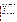- approve the qualifications of key personnel;
- review and comment on reports prepared under the resulting cooperative agreement; and
- evaluate the engineering improvements on an EPA demonstration project.

After award and during administration of the resulting cooperative agreements, the EPA Project Officer(s) expects to hold monthly telephone conference calls with all successful award recipients. A template will be furnished on those items to be discussed.

As part of EPA's efforts to evaluate the long-term effectiveness of the CARE program, EPA or its contractors or future grantees may attempt to follow up with community stakeholders groups involved in the CARE program from time to time to ask a series of questions from the applicant regarding the accomplishments of the community after the end of the cooperative agreement. Such questions would be of a general nature such as to additional funding received and programs accomplished. EPA expects that the cooperative agreement recipients will be willing to provide such information when requested.

# **E. Disputes**

Assistance agreement competition-related disputes will be resolved in accordance with the dispute resolution procedures published in 70 FR (Federal Register) 3629, 3630 (January 26, 2005) which can be found at http://www.epa.gov/ogd/competition/resolution.htm. Copies of these procedures may also be requested by contacting Dennis O'Connor at oconnor.dennis@epa.gov

# **Section VII--Agency Contacts**

We have prepared a Question and Answer document which can be found on the CARE Web site (www.epa.gov/care). Any additional questions or comments must be communicated in writing via postal mail, facsimile, or by using our Web site listed above. Answers will be posted, biweekly, until the closing date of this announcement at the OAR Grants/Funding Web page (http://www.epa.gov/air/grants\_funding.html).

Send mail to:

US EPA Attn: CARE Program (Dennis O'Connor) Mail Code 6601J Room 448 1310 L Street, NW Washington, DC 20005 Phone: 202-343-9213

Send fax to: 202-564-7739 (attention CARE program).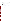#### **Note that only questions and not proposals are accepted via fax.**

# **FOR FURTHER INFORMATION CONTACT:**

Go to our Web site, and click on the words contact us at the bottom of the screen: www.epa.gov/care

Email: oconnor.dennis@epa.gov; Phone: 202-343-9213

# **Section VIII --Other Information**

The EPA Grant Award Officer is the only official that can bind the Agency to the expenditure of funds for selected projects resulting from this announcement.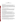### **Appendix A CARE Required Performance Measures**

### Why measure performance?

Measuring project progress is critical to achieving your desired goals. Targeting work toward specific project outcomes can help you manage your project to achieve these results. Measurement can tell you what is working with your project and what is not, and when it may be necessary to adapt your approach. It will give you the information to know that your efforts are having a positive impact on your community. It will help you remain sustainable, by giving you the information to demonstrate to EPA and other supporting organizations that you are achieving your project goals.

# CARE Performance Measurement Requirements

To ensure the long-term viability of individual CARE projects it is critical that the program as a whole demonstrate strong results. As a part of each cooperative agreement, CARE requires grantees to provide performance information through quarterly progress reports and a final report. This information will help the CARE Team track the successes of the program and manage the program effectively.

### "Output" and "Outcome" measures

Under EPA Order EPA Order 5700.7 "Environmental Results Under Assistance" (http://www.epa.gov/ogd/grants/award/5700.7.pdf), EPA requires that all of its grants and cooperative agreement programs ensure that grantee work plans contain not only well-defined outputs, but also, to the maximum extent practicable, well-defined outcomes.

The term "outcome" means the result that will occur from carrying out an activity that is related to a project goal. Outcomes may be environmental, behavioral, health-related, or programmatic in nature, must be quantitative, and may not necessarily be achievable within an assistance agreement funding period.

The term "output" means an environmental activity, effort, and/or associated work products related to an environmental goal or objective, that will be produced or provided over a period of time or by a specified date. Outputs may be quantitative or qualitative but must be measurable during an assistance agreement funding period. Outputs reflect the products and services provided by the recipient, but do not, by themselves, measure the programmatic or environmental results of an assistance agreement.

There are two major types of outcomes - end outcomes and intermediate outcomes. End outcomes are the desired end or ultimate results of a project or program. They represent results that lead to environmental/public health improvement. A change in water quality and resultant change in human health or environmental impacts are examples of end outcomes.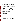Intermediate outcomes are outcomes that are expected to lead to end outcomes but are not themselves "ends." Given that the end outcomes of an assistance agreement may not occur until after the assistance agreement funding period, intermediate outcomes realized during the funding period are an important way to measure progress in achieving end outcomes. For example, for an air pollution program, reductions in pollution emissions may be viewed as an intermediate outcome to measure progress toward meeting or contributing to end outcomes of improved ambient air quality and reduced mortality from air pollution.

The following examples illustrate the relationship between outputs and outcomes.

1. If a project goal is to meet regularly with partners to plan for and conduct business or other outreach activities to involve others in pollution prevention activities, you may wish to measure:

**Outputs:** The frequency of these meetings, whether an outreach plan is developed. **Outcomes:** The percentage of targeted businesses involved in pollution prevention programs or efforts—before and after outreach, the results of the pollution prevention activities' contact (e.g., financial, technical, or in kind assistance).

2. If a project goal is to reduce idling at schools through an anti-idling campaign, you may wish to measure:

**Outputs:** The number of schools that are a part of the campaign, the percentage of the target population reached with the anti-idling messages.

**Outcomes:** Reductions in air toxic emissions at schools from buses and cars and based on the calculations of pre and post idling campaign estimates.

# Developing Performance Measures for your Proposed Work Plan

The following are questions to consider when developing output and outcome measures of quantitative and qualitative results.

1) What are the measurable short term and longer term results the project will achieve? 2) How does the plan measure progress in achieving the expected results (including outputs and outcomes) and how will the approach use resources effectively and efficiently?

One tool that may be useful to you in developing output and outcome measures is a "logic model." A logic model is a visual model that shows the relationship between your work and your desired results. It communicates the performance story of your project, focusing attention on the most important connections between your actions and the results. A logic model can serve as a basic road map for the project, explaining where you are and where you hope to end up.

The following Web Sites provide information on how to develop a logic model and how to use a logic model as a tool to develop your project measures.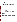The Kellogg Foundation guide to developing logic models: www.wkkf.org/Pubs/Tools/Evaluation/Pub3669.pdf

An EPA Region 10 Web Page with measurement information and tools: http://yosemite.epa.gov/R10/ECOCOMM.NSF/webpage/measuring+environmental+results

A University of Wisconsin Extension Service online course on enhancing performance using logic models: http://www.uwex.edu/ces/lmcourse/

A page with National Fish and Wildlife Foundation logic framework examples: http://www.nfwf.org/evaluation/logicframework.cfm

#### Data collection

There are various methods for collecting or tracking data. Those selected will depend on the specifics of the project.

Example 1: To measure the effectiveness of an educational training workshop, the applicant may want to administer a pre and post tests to those who attended.

community members. Example 2: The pre and post tests may be appropriate for this element of the project, while another element of the project may want to document pre and post project behavioral changes by

For your measures, think about what your data source will be (e.g., people, existing records, observation) and how you will collect the data (e.g., observing behavior changes, administering pre and post tests). Note that measures of environmental or human health benefits resulting from the project may be estimated or projected.

# CARE Program Measures

The EPA CARE team has developed a set of measures to track the progress and results of all CARE projects. To develop this set of measures, EPA used a "logic model" approach. Using this approach, the EPA CARE tracking team first mapped out the relationships between the program's key activities and intended results, and then used this model to identify feasible and informative measures of progress. This information will be gathered primarily from grantee quarterly progress reports and final reports. EPA will use these measures to track and communicate program results.

The information that EPA is tracking for all of its CARE grantees is: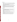# **Level I Measures:**

- Whether you form or focus a broad, results-oriented, collaborative, multi-stakeholder partnership to address toxics and environmental pollutants within 18 months of beginning work;
- How many and which toxic awareness raising and analytical risk screening and assessment tools did the stakeholder group use;
- Whether the stakeholder group obtained consensus on a list of priority toxic concerns;
- The amount of reductions of toxics and environmental pollutants and associated benefits achieved, if any;
- Whether you choose to apply for a CARE Level II cooperative agreement grant;
- The number and type of other organizations with whom you are partnering; and
- The resource contributions (dollar and other) the partnership has obtained from other organizations.

# **Level II Measures**

- Whether the stakeholder group reaches consensus and produces a set of priority actions based on their priority toxics concerns within nine months of beginning work;
- Which voluntary programs you implement;
- The amount of toxics and environmental pollutants reductions and associated benefits achieved;
- Whether you are reaching your priority action targets;
- Whether you are meeting your milestones to achieve sustainability, as outlined in your work plan;
- The number and type of other organizations with whom you are partnering;
- The resource contributions (dollar and other) the partnership has obtained from other organizations;
- The amount of money the partnership raises after CARE grant funding ends; and
- Whether the partnership continues to exist after CARE grant funding ends.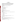# **Appendix B Sample Budget Narrative**

| The budget narrative for the project should correspond to the project goals and   |
|-----------------------------------------------------------------------------------|
| performance plan. This is only one example and is for illustrative purposes only. |

**Personnel** (these costs are for the CARE recipient employees, if any are hired)

 $\mathbb{S}$ 

**Fringe Benefits** (tied to any personnel costs identified above) \$\_\_\_\_\_

Overhead Rate \$\_\_\_\_\_

#### **Travel**

Meetings with Partners — miles  $\omega$  .45 \$

National Training Workshop

Airfare Estimated \$550

Hotel 2 nights  $@$150 = $300$ 

Per Diem 3 days @\$46 = \$138

Total \$988

Total Estimated Travel \$\_\_\_\_\_

**Equipment** (only items over \$5,000 should be included)

#### **Supplies**

To complete tasks for project goal (s) \_\_\_\_\_ to do \_\_\_\_\_\_\_\_requiring office supplies such as pens, staplers, notebooks, etc.

Paper  $\frac{1}{2}$ 

Computer and Printer Supplies \$\_\_\_\_

Envelopes \$\_\_\_\_

Pencils/Pens \$\_\_\_\_

Folders  $\frac{1}{2}$ 

Educational brochures on environmental issues related to project goal \_\_\_\_\_\_ to do\_\_\_\_

5,000 brochures @ \$\_\_\_\_ each \$\_\_\_\_\_

Total Supplies  $\frac{1}{2}$ 

#### **Other**

Printing <u>e</u>nvironmental education signs for project goal <u>s</u> to do \$

Postage for 2500 mailings (issues of newsletter plus meeting announcements, other literature, and required documents) @ .37 each \\$

Telephone charges to conduct outreach for project goal \_\_\_\_\_\_ \$\_\_\_\_\_

Total Other Costs  $\frac{1}{2}$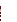#### **Contractual**\*

Lead Abatement contractor to support project goal\_\_\_\_\_\_ \$\_\_\_\_\_ XYZ Company to conduct \_\_\_\_\_ to support project goal \_\_\_\_. \$\_\_\_\_\_ Total Contractual Costs \$\_\_\_\_\_

**Total Project Estimate** \$\_\_\_\_\_

**\* Please note that any contract or grant you award with federal dollars is subject to federal competition rules. This means that you cannot guarantee funding to any specific contractor or organization. Whether they win the contract or grant will depend on the competition which will determine whether or not they receive any money.** 

**Appendix C**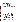#### **Suggestions for the Type of Information To Include in Your Narrative Proposal**

Section V.A contains the evaluation criteria. EPA is providing Appendix C to give the applicant a description of the types of material we are looking for in your narrative. The same numbering system is being applied that is used in the Evaluation Criteria to make it easier to follow.

#### **The following list is applicable to Level I Projects only**

#### **1. Extent of environment and public health problems:**

Level I projects should be designed to help communities assess and prioritize risks, so communities are not expected to present a detailed analysis of community risks and impacts. Available information and community knowledge can be used to present a preliminary picture of community risk and impacts.

- Describe the environmental problems that cause the applicant to seek a Level I CARE cooperative agreement.
- Using available information, describe the nature of pollution in your community and identify any health and/or environmental impacts that may be related to toxics.

#### **2. Project Goals and Performance Plan:**

The Agency encourages applicants to use a one-page Logic Model to detail the project's plan. (See Appendix A for information on resources to help you develop a Logic Model)

- Specifically identify measurable project goals, outcomes and outputs;
- Describe how the project work planned will directly address the community's needs.
- Enumerate in the proposal tasks, and milestones (i.e. dates by which tasks will be carried out and outputs will be produced.)
- Identify what persons or organizations will have lead responsibility for tasks and milestones.
- The budget narrative should show support and alignment with the project goals and performance plan.
- The plan needs to explain the timeline the applicant will use to be ready to apply for a CARE Level II cooperative agreement. The explanation should clearly state whether they will be ready to apply for a CARE Level II in 18 or 30 months and how they will keep the partnership together until they receive additional funding.
- A Level I applicant should, to the extent possible, include a description of your plan to identify risks by identifying possible data sources and potential ways of gathering information about possible risks, the ways those risks will be communicated to the stakeholders in the community, and to the extent possible, applicants should also discuss some options that you may employ to rank and prioritize those risks once identified. There are no required sets of data or required risk ranking tools and therefore applicants are encouraged to be as descriptive as possible as to their scope of work.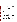The scope of the CARE work project need only reflect the federally funded work.

# **3. Community involvement/collaboration/partnerships:**

- Describe what you will do to bring the community together for the purpose of collaboratively, identifying, and reducing exposure to toxics in the community.
- Be clear about how you will identify and prioritize risks.
- The narrative should explicitly describe what groups (i.e. community, business government and others as appropriate) the applicant will work with. The point of this is to allow us to evaluate your proposal in terms of whether you (1) understand who is needed, (2) understand who is missing and (3) have a plan to either get them to the table or deal with their absence.
- Explain how you not only will work with key community groups but how you will engage the community as a whole regarding the process. CARE's Level 1 intent is to engage the community as a whole regarding the identification, education and the understanding of the environmental problems and their ideas of what should be their prioritized concerns.
- List all groups that have already agreed to work with you on this project and their reason for inclusion. Use of a table which includes the name of the partner, which part of the community they represent and what they bring to or will do for the group is a good way to make this clear to reviewers.
- Indicate if you have ever worked with any of these groups in the past, and if so, when and what were the results. Please understand that consultants who are going to be paid for working on the CARE project are not considered businesses when we look to see if you have businesses represented in your partnership.
- To the extent known, spell out the roles the different organizations will play and the processes through which the organizations will work together and communicate.
- For any organization listed include a contact name with a phone number in order for EPA to consider that organization to be part of the partnership.
- **Please include letters of commitment from your partners wherever possible. (The** discussion of the organizations you will work with will count against your page total - the letter of commitment will not). Remember EPA gives more weight to letters of specific commitment over general support. EPA reserves the right to contact organizations to verify their involvement.
- Explain your plans for providing meaningful stakeholder participation in the decisionmaking process and facilitating stakeholder meetings and your plans and/or process for bringing the diverse group of stakeholders together to achieve consensus.
- Also, include (if known) partners within your community that may need to be involved but are not a part of this proposal. Explain why these partners are not included.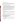#### **4. Alignment with CARE Strategies:**

Discuss the connection between the three specific CARE strategies listed in Section V.A, Evaluation Criteria 3 and the problems the CARE project is intended to address, the approach the applicant plans to use, and how the proposed work aligns with these strategies. EPA recommends a separate short write-up for each strategy.

# **5. Tracking and Measuring Environmental Results:**

- **Describe the applicant's plan for tracking environmental results and what performance** measures will be used (outputs and outcomes). Outputs are what is done and what the level of effort is (i.e. will hold a number of meetings throughout the district). Outcomes are the quantitative and qualitative effects of the results from the actions taken (i.e. the meetings engaged four additional neighborhood groups to commit to the project).
- Identify indicators and performance measures the applicant will use to determine at the conclusion of the project if goals were achieved and if the project is a success.

 "CARE Required Performance Measures" for specific information. For additional information regarding performance measures and tracking, refer to "Developing Performance Measures" Section I.C.5 for general information and Appendix A

### **6. Programmatic Capacity:**

- Describe other projects that have been successfully managed, or organizational features and controls that will help ensure the project can be effectively managed and successfully completed.
- Describe and provide substantiation of the applicant's ability to manage this CARE project.
- Describe the system(s) that will be used to appropriately manage, expend, and account for federal funds.
- If the applicant is, or has been, a recipient of an EPA grant/cooperative agreement in the last 3 years the applicant must provide information regarding compliance reporting measures, and annual financial status reporting.

# **The following list is applicable to Level II Agreements** *only***.**

- **1. Environmental issues and concerns:** 
	- Include information from the stakeholder group's multi-media investigation of the risks in the community.
	- Specifically identify the extent of the environmental and human health toxic problems in the community.
	- Describe the severity of the environmental and human health problems in the community.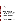#### **2. Project Goals and Performance Plan and Budget Accountability:**

The Agency encourages applicants to use a one-page Logic Model to detail the project's plan. (See Appendix A for information on resources to help you develop a Logic Model)

- **Specifically identify measurable project goals and outputs;**
- Describe how the planned project work will directly address the community's needs.
- Enumerate in the proposed tasks, each task's milestones (i.e. dates by which tasks will be carried out and outputs will be produced.)
- Identify what persons or organizations will have lead responsibility for tasks and milestones.
- The budget narrative should show support and alignment with the project goals and performance plan.
- The applicant must discuss the relationship between the risk prioritization process identified through the collaborative stakeholder process (Level I activities) and the current project goals and activities being proposed in this Level II project. The scope of the CARE work project need only reflect the federally funded work

#### **3. Past and Continued Success of Broad-Based Stakeholder Group:**

This criterion is designed to inform us about the work that you did in the past so we can judge if you are ready to be a CARE Level II community. Therefore, when answering this question you need to focus on what you have done and what you will do.

- **Describe the community's risk reduction priorities and describe the process through** which the community priorities were identified.
- Describe how broad-based the current stakeholder group is. Explain how the group represents all relevant constituencies in the community? Provide specific information on how all sectors of the community, especially community residents, were involved in the process. The point of this is to allow us to evaluate your proposal in terms of whether you (1) understand who is needed, (2) understand who is missing and (3) have a plan to either get them to the table or deal with their absence.
- **Describe how consensus was built within the partnership and the community to** determine the community's priorities.
- problems in the community? Describe how effective the stakeholder group has been in examining the toxic
- **Describe how the community members and partnerships have participated and will** participate in the planning, performance, and evaluation of the Level II proposed project.
- Substantiate the group and it's its accomplishments by submitting information about the already formed Stakeholder Group including membership, meeting notes and any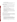reports or work products produced.

 Be clear about how you identified and prioritized risks. Be clear about how you will come to consensus on the actions you will take to reduce those risks.

### **4. Ability to Leverage New Resources and Sustain Community Efforts to Understand and Improve the Environment**:

- Describe funds or other resources that have been committed, will be committed and/or have been sought to support the goals of this project (in addition to the EPA CARE proposal).
- Detail if there are current or future plans to solicit funding from any other EPA source(s) for work related to this proposal.
- Include letters of commitment from your partners wherever possible. Letters of commitment do not count toward the page limitation.
- **Provide a plan for leveraging local and national funding resources to address** community priorities and can describe how Level II CARE funds will be used as a part of this broader plan.
- Describe how the applicant will develop a partnership and community infrastructure so that the stakeholder group can continue the community-based environmental and health protection work in the future.

# **5. Alignment with CARE Strategies:**

Discuss the connection between the two strategies listed in Section V.A, Evaluation Criteria #4, the problems the CARE project is intended to address, the approach the applicant plans to use, and how the proposed work aligns with the three strategies. EPA recommends, but does not require, a separate short write-up for each strategy.

# **6. Tracking and Measuring Environmental Results:**

- Describe the applicant's plan for tracking environmental results and what performance measures will be used (outputs and outcomes). Outputs are what is done and what the level of effort is (i.e. will hold a number of meetings throughout the district). Outcomes are the quantitative and qualitative effects of the results from the actions taken (i.e. the meetings engaged four additional neighborhood groups to commit to the project).
- Identify indicators and performance measures the applicant will use to determine at